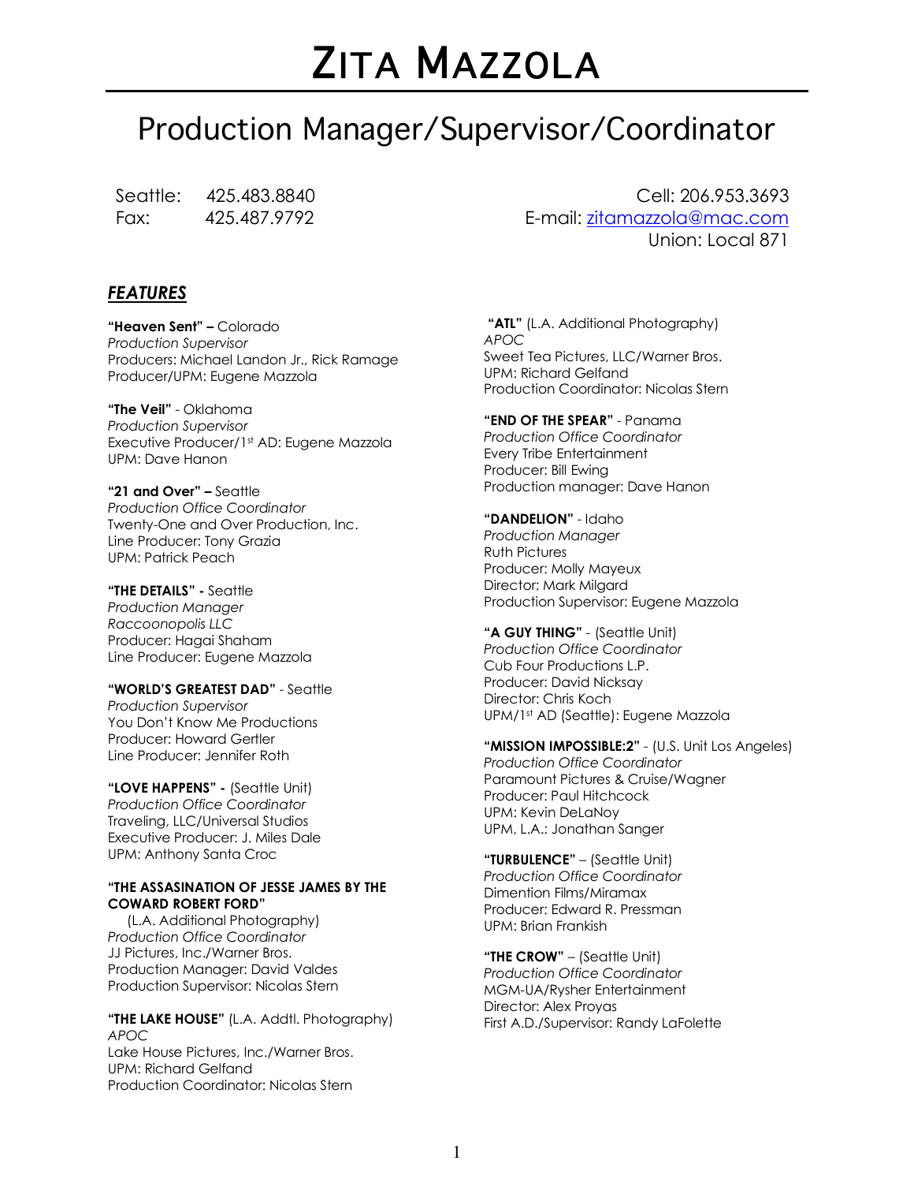# ZITA MAZZOLA

# Production Manager/Supervisor/Coordinator

Seattle: 425.483.8840 Fax: 425.487.9792

*FEATURES*

**"Heaven Sent" –** Colorado *Production Supervisor* Producers: Michael Landon Jr., Rick Ramage Producer/UPM: Eugene Mazzola

**"The Veil"** - Oklahoma *Production Supervisor* Executive Producer/1st AD: Eugene Mazzola UPM: Dave Hanon

**"21 and Over" –** Seattle *Production Office Coordinator* Twenty-One and Over Production, Inc. Line Producer: Tony Grazia UPM: Patrick Peach

**"THE DETAILS" -** Seattle *Production Manager Raccoonopolis LLC* Producer: Hagai Shaham Line Producer: Eugene Mazzola

**"WORLD'S GREATEST DAD"** - Seattle *Production Supervisor* You Don't Know Me Productions Producer: Howard Gertler Line Producer: Jennifer Roth

**"LOVE HAPPENS" -** (Seattle Unit) *Production Office Coordinator* Traveling, LLC/Universal Studios Executive Producer: J. Miles Dale UPM: Anthony Santa Croc

#### **"THE ASSASINATION OF JESSE JAMES BY THE COWARD ROBERT FORD"**

(L.A. Additional Photography) *Production Office Coordinator* JJ Pictures, Inc./Warner Bros. Production Manager: David Valdes Production Supervisor: Nicolas Stern

**"THE LAKE HOUSE"** (L.A. Addtl. Photography) *APOC* Lake House Pictures, Inc./Warner Bros. UPM: Richard Gelfand Production Coordinator: Nicolas Stern

Cell: 206.953.3693 E-mail: zitamazzola@mac.com Union: Local 871

**"ATL"** (L.A. Additional Photography) *APOC* Sweet Tea Pictures, LLC/Warner Bros. UPM: Richard Gelfand Production Coordinator: Nicolas Stern

**"END OF THE SPEAR"** - Panama *Production Office Coordinator* Every Tribe Entertainment Producer: Bill Ewing Production manager: Dave Hanon

**"DANDELION"** - Idaho *Production Manager* Ruth Pictures Producer: Molly Mayeux Director: Mark Milgard Production Supervisor: Eugene Mazzola

**"A GUY THING"** - (Seattle Unit) *Production Office Coordinator* Cub Four Productions L.P. Producer: David Nicksay Director: Chris Koch UPM/1st AD (Seattle): Eugene Mazzola

**"MISSION IMPOSSIBLE:2"** - (U.S. Unit Los Angeles) *Production Office Coordinator* Paramount Pictures & Cruise/Wagner Producer: Paul Hitchcock UPM: Kevin DeLaNoy UPM, L.A.: Jonathan Sanger

**"TURBULENCE"** – (Seattle Unit) *Production Office Coordinator* Dimention Films/Miramax Producer: Edward R. Pressman UPM: Brian Frankish

**"THE CROW"** – (Seattle Unit) *Production Office Coordinator* MGM-UA/Rysher Entertainment Director: Alex Proyas First A.D./Supervisor: Randy LaFolette